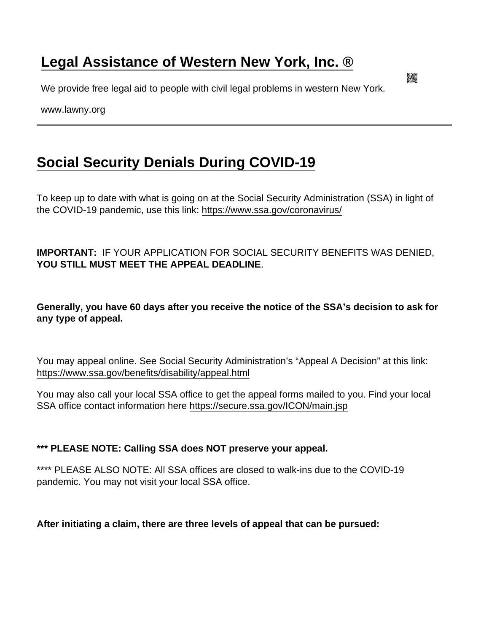## [Legal Assistance of Western New York, Inc. ®](https://www.lawny.org/)

We provide free legal aid to people with civil legal problems in western New York.

www.lawny.org

## [Social Security Denials During COVID-19](https://www.lawny.org/socialsecuritydenialsduringcovid-19)

To keep up to date with what is going on at the Social Security Administration (SSA) in light of the COVID-19 pandemic, use this link: <https://www.ssa.gov/coronavirus/>

IMPORTANT: IF YOUR APPLICATION FOR SOCIAL SECURITY BENEFITS WAS DENIED, YOU STILL MUST MEET THE APPEAL DEADLINE.

Generally, you have 60 days after you receive the notice of the SSA's decision to ask for any type of appeal.

You may appeal online. See Social Security Administration's "Appeal A Decision" at this link: <https://www.ssa.gov/benefits/disability/appeal.html>

You may also call your local SSA office to get the appeal forms mailed to you. Find your local SSA office contact information here<https://secure.ssa.gov/ICON/main.jsp>

\*\*\* PLEASE NOTE: Calling SSA does NOT preserve your appeal.

\*\*\*\* PLEASE ALSO NOTE: All SSA offices are closed to walk-ins due to the COVID-19 pandemic. You may not visit your local SSA office.

After initiating a claim, there are three levels of appeal that can be pursued: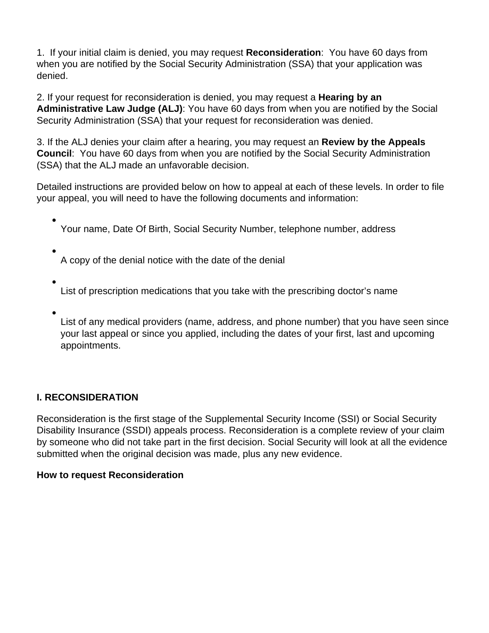1. If your initial claim is denied, you may request **Reconsideration**: You have 60 days from when you are notified by the Social Security Administration (SSA) that your application was denied.

2. If your request for reconsideration is denied, you may request a **Hearing by an Administrative Law Judge (ALJ)**: You have 60 days from when you are notified by the Social Security Administration (SSA) that your request for reconsideration was denied.

3. If the ALJ denies your claim after a hearing, you may request an **Review by the Appeals Council**: You have 60 days from when you are notified by the Social Security Administration (SSA) that the ALJ made an unfavorable decision.

Detailed instructions are provided below on how to appeal at each of these levels. In order to file your appeal, you will need to have the following documents and information:

Your name, Date Of Birth, Social Security Number, telephone number, address

A copy of the denial notice with the date of the denial

- List of prescription medications that you take with the prescribing doctor's name
- List of any medical providers (name, address, and phone number) that you have seen since your last appeal or since you applied, including the dates of your first, last and upcoming appointments.

### **I. RECONSIDERATION**

Reconsideration is the first stage of the Supplemental Security Income (SSI) or Social Security Disability Insurance (SSDI) appeals process. Reconsideration is a complete review of your claim by someone who did not take part in the first decision. Social Security will look at all the evidence submitted when the original decision was made, plus any new evidence.

### **How to request Reconsideration**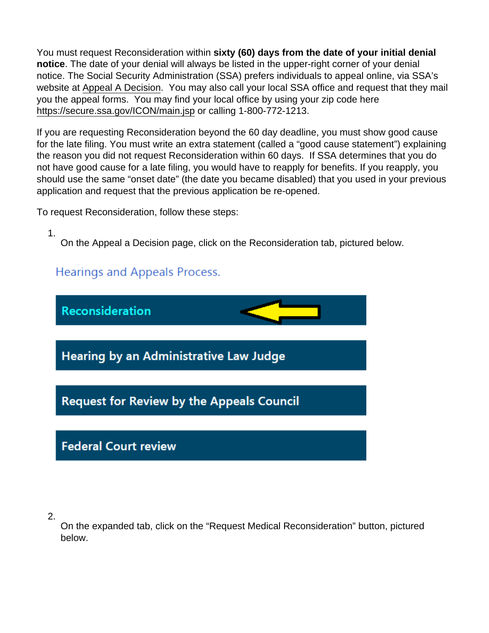You must request Reconsideration within sixty (60) days from the date of your initial denial notice . The date of your denial will always be listed in the upper-right corner of your denial notice. The Social Security Administration (SSA) prefers individuals to appeal online, via SSA's website at [Appeal A Decision](https://www.ssa.gov/benefits/disability/appeal.html). You may also call your local SSA office and request that they mail you the appeal forms. You may find your local office by using your zip code here <https://secure.ssa.gov/ICON/main.jsp> or calling 1-800-772-1213.

If you are requesting Reconsideration beyond the 60 day deadline, you must show good cause for the late filing. You must write an extra statement (called a "good cause statement") explaining the reason you did not request Reconsideration within 60 days. If SSA determines that you do not have good cause for a late filing, you would have to reapply for benefits. If you reapply, you should use the same "onset date" (the date you became disabled) that you used in your previous application and request that the previous application be re-opened.

To request Reconsideration, follow these steps:

1.

On the Appeal a Decision page, click on the Reconsideration tab, pictured below.

2.

On the expanded tab, click on the "Request Medical Reconsideration" button, pictured below.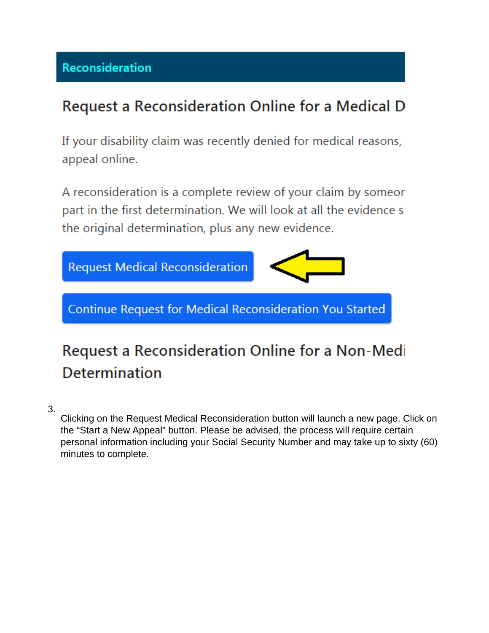### Reconsideration

## Request a Reconsideration Online for a Medical D

If your disability claim was recently denied for medical reasons, appeal online.

A reconsideration is a complete review of your claim by someor part in the first determination. We will look at all the evidence s the original determination, plus any new evidence.



# Request a Reconsideration Online for a Non-Medi **Determination**

3.

Clicking on the Request Medical Reconsideration button will launch a new page. Click on the "Start a New Appeal" button. Please be advised, the process will require certain personal information including your Social Security Number and may take up to sixty (60) minutes to complete.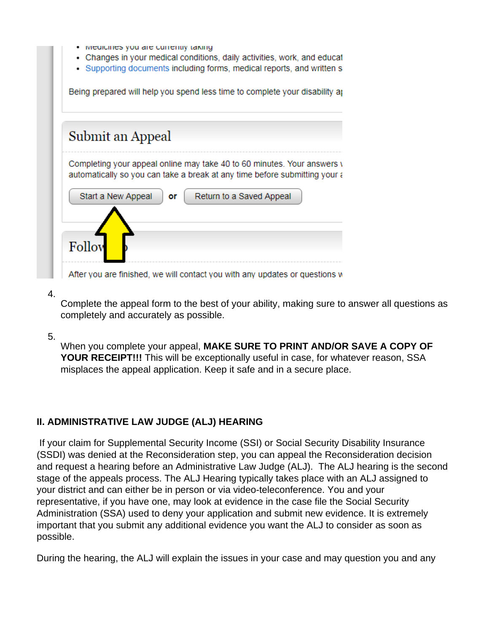| Submit an Appeal   |    |                                                                                                                                                       |  |
|--------------------|----|-------------------------------------------------------------------------------------------------------------------------------------------------------|--|
|                    |    | Completing your appeal online may take 40 to 60 minutes. Your answers v<br>automatically so you can take a break at any time before submitting your a |  |
| Start a New Appeal | or | Return to a Saved Appeal                                                                                                                              |  |

4.

Complete the appeal form to the best of your ability, making sure to answer all questions as completely and accurately as possible.

### 5.

When you complete your appeal, **MAKE SURE TO PRINT AND/OR SAVE A COPY OF YOUR RECEIPT!!!** This will be exceptionally useful in case, for whatever reason, SSA misplaces the appeal application. Keep it safe and in a secure place.

### **II. ADMINISTRATIVE LAW JUDGE (ALJ) HEARING**

 If your claim for Supplemental Security Income (SSI) or Social Security Disability Insurance (SSDI) was denied at the Reconsideration step, you can appeal the Reconsideration decision and request a hearing before an Administrative Law Judge (ALJ). The ALJ hearing is the second stage of the appeals process. The ALJ Hearing typically takes place with an ALJ assigned to your district and can either be in person or via video-teleconference. You and your representative, if you have one, may look at evidence in the case file the Social Security Administration (SSA) used to deny your application and submit new evidence. It is extremely important that you submit any additional evidence you want the ALJ to consider as soon as possible.

During the hearing, the ALJ will explain the issues in your case and may question you and any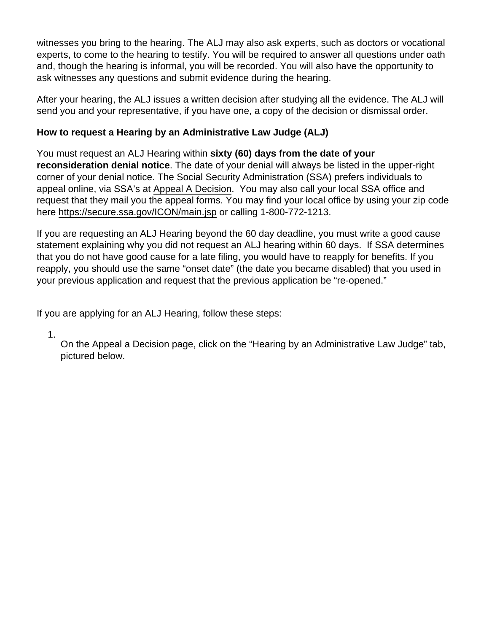witnesses you bring to the hearing. The ALJ may also ask experts, such as doctors or vocational experts, to come to the hearing to testify. You will be required to answer all questions under oath and, though the hearing is informal, you will be recorded. You will also have the opportunity to ask witnesses any questions and submit evidence during the hearing.

After your hearing, the ALJ issues a written decision after studying all the evidence. The ALJ will send you and your representative, if you have one, a copy of the decision or dismissal order.

How to request a Hearing by an Administrative Law Judge (ALJ)

You must request an ALJ Hearing within sixty (60) days from the date of your reconsideration denial notice . The date of your denial will always be listed in the upper-right corner of your denial notice. The Social Security Administration (SSA) prefers individuals to appeal online, via SSA's at [Appeal A Decision](https://www.ssa.gov/benefits/disability/appeal.html). You may also call your local SSA office and request that they mail you the appeal forms. You may find your local office by using your zip code here<https://secure.ssa.gov/ICON/main.jsp> or calling 1-800-772-1213.

If you are requesting an ALJ Hearing beyond the 60 day deadline, you must write a good cause statement explaining why you did not request an ALJ hearing within 60 days. If SSA determines that you do not have good cause for a late filing, you would have to reapply for benefits. If you reapply, you should use the same "onset date" (the date you became disabled) that you used in your previous application and request that the previous application be "re-opened."

If you are applying for an ALJ Hearing, follow these steps:

1.

On the Appeal a Decision page, click on the "Hearing by an Administrative Law Judge" tab, pictured below.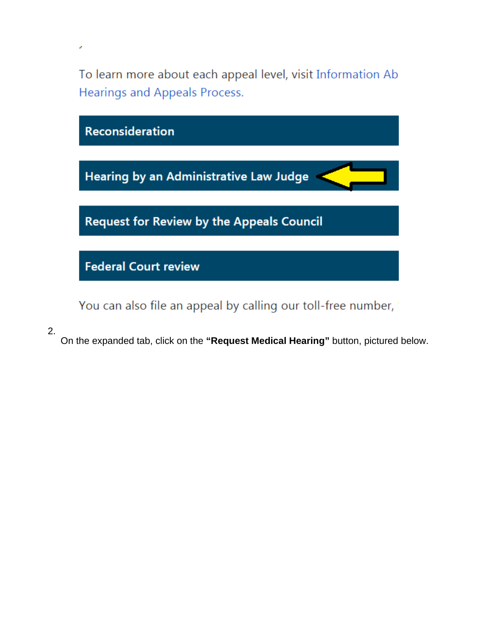To learn more about each appeal level, visit Information Ab Hearings and Appeals Process.



You can also file an appeal by calling our toll-free number,

2.

J

On the expanded tab, click on the **"Request Medical Hearing"** button, pictured below.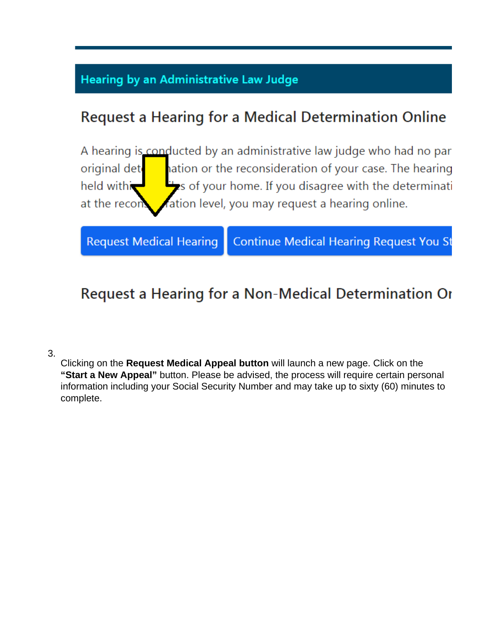### **Hearing by an Administrative Law Judge**

## **Request a Hearing for a Medical Determination Online**

A hearing is conducted by an administrative law judge who had no par original det ation or the reconsideration of your case. The hearing held withi is of your home. If you disagree with the determinati ation level, you may request a hearing online. at the recor

**Request Medical Hearing** 

**Continue Medical Hearing Request You St** 

## Request a Hearing for a Non-Medical Determination Or

3.

Clicking on the **Request Medical Appeal button** will launch a new page. Click on the **"Start a New Appeal"** button. Please be advised, the process will require certain personal information including your Social Security Number and may take up to sixty (60) minutes to complete.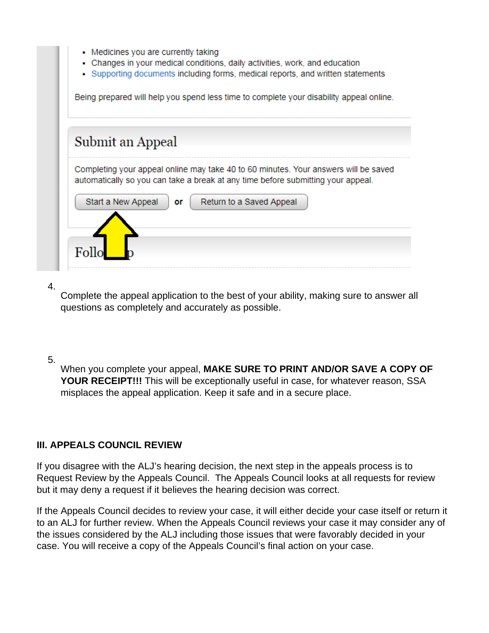| Medicines you are currently taking |  |  |
|------------------------------------|--|--|
|                                    |  |  |

- Changes in your medical conditions, daily activities, work, and education
- Supporting documents including forms, medical reports, and written statements

Being prepared will help you spend less time to complete your disability appeal online.

|                    |    | Completing your appeal online may take 40 to 60 minutes. Your answers will be saved |  |
|--------------------|----|-------------------------------------------------------------------------------------|--|
|                    |    | automatically so you can take a break at any time before submitting your appeal.    |  |
| Start a New Appeal | or | Return to a Saved Appeal                                                            |  |
|                    |    |                                                                                     |  |

#### 4.

Complete the appeal application to the best of your ability, making sure to answer all questions as completely and accurately as possible.

#### 5.

When you complete your appeal, **MAKE SURE TO PRINT AND/OR SAVE A COPY OF YOUR RECEIPT!!!** This will be exceptionally useful in case, for whatever reason, SSA misplaces the appeal application. Keep it safe and in a secure place.

### **III. APPEALS COUNCIL REVIEW**

If you disagree with the ALJ's hearing decision, the next step in the appeals process is to Request Review by the Appeals Council. The Appeals Council looks at all requests for review but it may deny a request if it believes the hearing decision was correct.

If the Appeals Council decides to review your case, it will either decide your case itself or return it to an ALJ for further review. When the Appeals Council reviews your case it may consider any of the issues considered by the ALJ including those issues that were favorably decided in your case. You will receive a copy of the Appeals Council's final action on your case.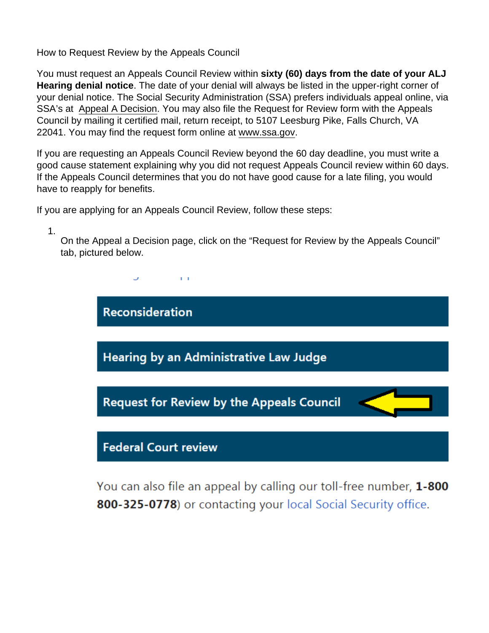How to Request Review by the Appeals Council

You must request an Appeals Council Review within sixty (60) days from the date of your ALJ Hearing denial notice . The date of your denial will always be listed in the upper-right corner of your denial notice. The Social Security Administration (SSA) prefers individuals appeal online, via SSA's at [Appeal A Decision.](https://www.ssa.gov/benefits/disability/appeal.html) You may also file the Request for Review form with the Appeals Council by mailing it certified mail, return receipt, to 5107 Leesburg Pike, Falls Church, VA 22041. You may find the request form online at [www.ssa.gov](http://www.ssa.gov).

If you are requesting an Appeals Council Review beyond the 60 day deadline, you must write a good cause statement explaining why you did not request Appeals Council review within 60 days. If the Appeals Council determines that you do not have good cause for a late filing, you would have to reapply for benefits.

If you are applying for an Appeals Council Review, follow these steps:

1.

On the Appeal a Decision page, click on the "Request for Review by the Appeals Council" tab, pictured below.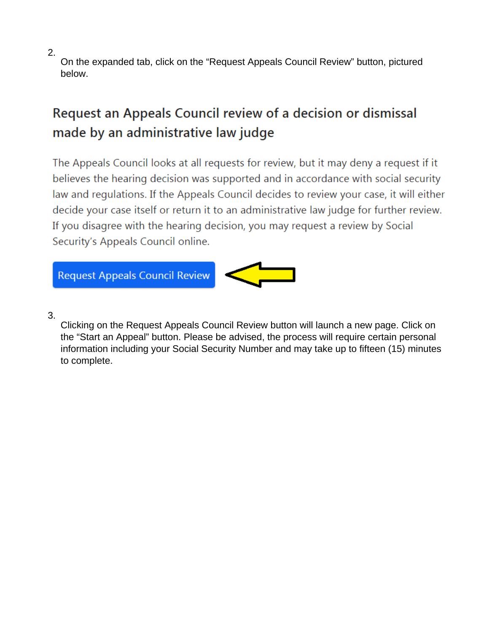2.

On the expanded tab, click on the "Request Appeals Council Review" button, pictured below.

# Request an Appeals Council review of a decision or dismissal made by an administrative law judge

The Appeals Council looks at all requests for review, but it may deny a request if it believes the hearing decision was supported and in accordance with social security law and regulations. If the Appeals Council decides to review your case, it will either decide your case itself or return it to an administrative law judge for further review. If you disagree with the hearing decision, you may request a review by Social Security's Appeals Council online.



3.

Clicking on the Request Appeals Council Review button will launch a new page. Click on the "Start an Appeal" button. Please be advised, the process will require certain personal information including your Social Security Number and may take up to fifteen (15) minutes to complete.